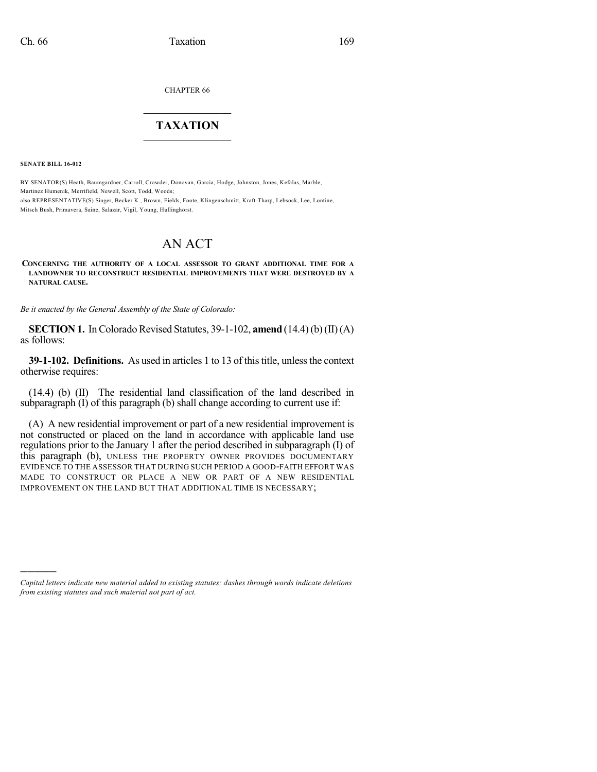CHAPTER 66

## $\mathcal{L}_\text{max}$  . The set of the set of the set of the set of the set of the set of the set of the set of the set of the set of the set of the set of the set of the set of the set of the set of the set of the set of the set **TAXATION**  $\_$

**SENATE BILL 16-012**

)))))

BY SENATOR(S) Heath, Baumgardner, Carroll, Crowder, Donovan, Garcia, Hodge, Johnston, Jones, Kefalas, Marble, Martinez Humenik, Merrifield, Newell, Scott, Todd, Woods; also REPRESENTATIVE(S) Singer, Becker K., Brown, Fields, Foote, Klingenschmitt, Kraft-Tharp, Lebsock, Lee, Lontine, Mitsch Bush, Primavera, Saine, Salazar, Vigil, Young, Hullinghorst.

## AN ACT

## **CONCERNING THE AUTHORITY OF A LOCAL ASSESSOR TO GRANT ADDITIONAL TIME FOR A LANDOWNER TO RECONSTRUCT RESIDENTIAL IMPROVEMENTS THAT WERE DESTROYED BY A NATURAL CAUSE.**

*Be it enacted by the General Assembly of the State of Colorado:*

**SECTION 1.** In Colorado Revised Statutes, 39-1-102, **amend** (14.4)(b)(II)(A) as follows:

**39-1-102. Definitions.** As used in articles 1 to 13 of this title, unless the context otherwise requires:

(14.4) (b) (II) The residential land classification of the land described in subparagraph  $(I)$  of this paragraph  $(b)$  shall change according to current use if:

(A) A new residential improvement or part of a new residential improvement is not constructed or placed on the land in accordance with applicable land use regulations prior to the January 1 after the period described in subparagraph (I) of this paragraph (b), UNLESS THE PROPERTY OWNER PROVIDES DOCUMENTARY EVIDENCE TO THE ASSESSOR THAT DURING SUCH PERIOD A GOOD-FAITH EFFORT WAS MADE TO CONSTRUCT OR PLACE A NEW OR PART OF A NEW RESIDENTIAL IMPROVEMENT ON THE LAND BUT THAT ADDITIONAL TIME IS NECESSARY;

*Capital letters indicate new material added to existing statutes; dashes through words indicate deletions from existing statutes and such material not part of act.*